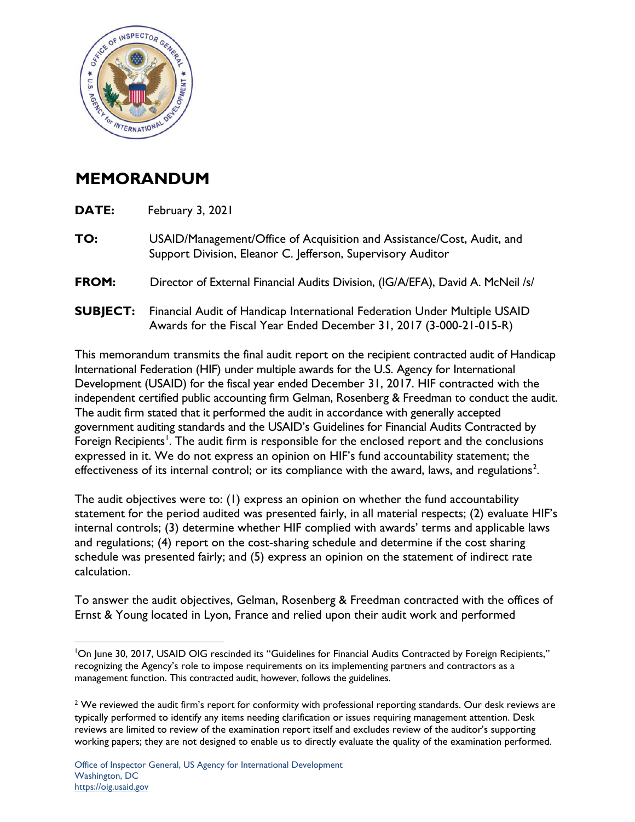

## **MEMORANDUM**

| DATE:           | February 3, 2021                                                                                                                                 |
|-----------------|--------------------------------------------------------------------------------------------------------------------------------------------------|
| TO:             | USAID/Management/Office of Acquisition and Assistance/Cost, Audit, and<br>Support Division, Eleanor C. Jefferson, Supervisory Auditor            |
| FROM:           | Director of External Financial Audits Division, (IG/A/EFA), David A. McNeil /s/                                                                  |
| <b>SUBJECT:</b> | Financial Audit of Handicap International Federation Under Multiple USAID<br>Awards for the Fiscal Year Ended December 31, 2017 (3-000-21-015-R) |
|                 | and the contract of the contract of the contract of the contract of the contract of the contract of the contract of                              |

This memorandum transmits the final audit report on the recipient contracted audit of Handicap International Federation (HIF) under multiple awards for the U.S. Agency for International Development (USAID) for the fiscal year ended December 31, 2017. HIF contracted with the independent certified public accounting firm Gelman, Rosenberg & Freedman to conduct the audit. The audit firm stated that it performed the audit in accordance with generally accepted government auditing standards and the USAID's Guidelines for Financial Audits Contracted by Foreign Recipients<sup>[1](#page-0-0)</sup>. The audit firm is responsible for the enclosed report and the conclusions expressed in it. We do not express an opinion on HIF's fund accountability statement; the effectiveness of its internal control; or its compliance with the award, laws, and regulations<sup>[2](#page-0-1)</sup>.

The audit objectives were to: (1) express an opinion on whether the fund accountability statement for the period audited was presented fairly, in all material respects; (2) evaluate HIF's internal controls; (3) determine whether HIF complied with awards' terms and applicable laws and regulations; (4) report on the cost-sharing schedule and determine if the cost sharing schedule was presented fairly; and (5) express an opinion on the statement of indirect rate calculation.

To answer the audit objectives, Gelman, Rosenberg & Freedman contracted with the offices of Ernst & Young located in Lyon, France and relied upon their audit work and performed

<span id="page-0-0"></span><sup>&</sup>lt;sup>1</sup>On June 30, 2017, USAID OIG rescinded its "Guidelines for Financial Audits Contracted by Foreign Recipients," recognizing the Agency's role to impose requirements on its implementing partners and contractors as a management function. This contracted audit, however, follows the guidelines.

<span id="page-0-1"></span><sup>&</sup>lt;sup>2</sup> We reviewed the audit firm's report for conformity with professional reporting standards. Our desk reviews are typically performed to identify any items needing clarification or issues requiring management attention. Desk reviews are limited to review of the examination report itself and excludes review of the auditor's supporting working papers; they are not designed to enable us to directly evaluate the quality of the examination performed.